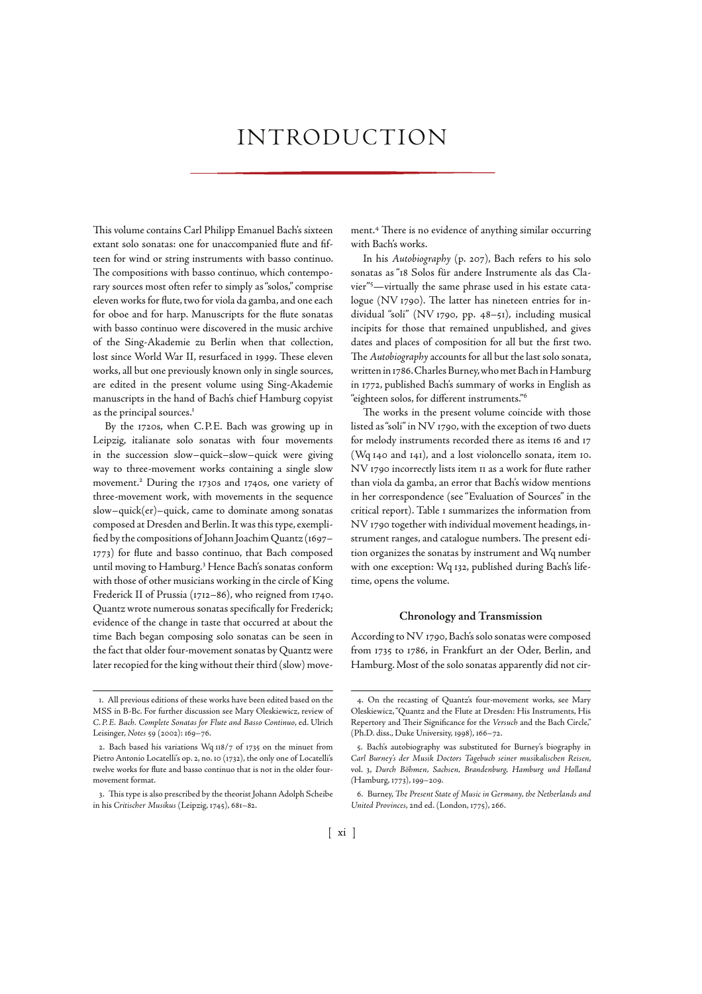# INTRODUCTION

This volume contains Carl Philipp Emanuel Bach's sixteen extant solo sonatas: one for unaccompanied flute and fifteen for wind or string instruments with basso continuo. The compositions with basso continuo, which contemporary sources most often refer to simply as "solos," comprise eleven works for flute, two for viola da gamba, and one each for oboe and for harp. Manuscripts for the flute sonatas with basso continuo were discovered in the music archive of the Sing-Akademie zu Berlin when that collection, lost since World War II, resurfaced in 1999. These eleven works, all but one previously known only in single sources, are edited in the present volume using Sing-Akademie manuscripts in the hand of Bach's chief Hamburg copyist as the principal sources.

By the 1720s, when C.P.E. Bach was growing up in Leipzig, italianate solo sonatas with four movements in the succession slow–quick–slow–quick were giving way to three-movement works containing a single slow movement.<sup>2</sup> During the 1730s and 1740s, one variety of three-movement work, with movements in the sequence slow–quick(er)–quick, came to dominate among sonatas composed at Dresden and Berlin. It was this type, exemplified by the compositions of Johann Joachim Quantz (1697-) for flute and basso continuo, that Bach composed until moving to Hamburg. Hence Bach's sonatas conform with those of other musicians working in the circle of King Frederick II of Prussia (1712-86), who reigned from 1740. Quantz wrote numerous sonatas specifically for Frederick; evidence of the change in taste that occurred at about the time Bach began composing solo sonatas can be seen in the fact that older four-movement sonatas by Quantz were later recopied for the king without their third (slow) move-

ment.<sup>4</sup> There is no evidence of anything similar occurring with Bach's works.

In his Autobiography (p. 207), Bach refers to his solo sonatas as "18 Solos für andere Instrumente als das Clavier"<sup>5</sup>-virtually the same phrase used in his estate catalogue (NV 1790). The latter has nineteen entries for individual "soli" (NV 1790, pp. 48-51), including musical incipits for those that remained unpublished, and gives dates and places of composition for all but the first two. The Autobiography accounts for all but the last solo sonata, written in 1786. Charles Burney, who met Bach in Hamburg in 1772, published Bach's summary of works in English as "eighteen solos, for different instruments."

The works in the present volume coincide with those listed as "soli" in NV 1790, with the exception of two duets for melody instruments recorded there as items 16 and 17 (Wq  $140$  and  $141$ ), and a lost violoncello sonata, item 10. NV 1790 incorrectly lists item II as a work for flute rather than viola da gamba, an error that Bach's widow mentions in her correspondence (see "Evaluation of Sources" in the critical report). Table I summarizes the information from NV 1790 together with individual movement headings, instrument ranges, and catalogue numbers. The present edition organizes the sonatas by instrument and Wq number with one exception: Wq 132, published during Bach's lifetime, opens the volume.

### **Chronology and Transmission**

According to NV 1790, Bach's solo sonatas were composed from 1735 to 1786, in Frankfurt an der Oder, Berlin, and Hamburg. Most of the solo sonatas apparently did not cir-

<sup>.</sup> All previous editions of these works have been edited based on the MSS in B-Bc. For further discussion see Mary Oleskiewicz, review of C. P. E. Bach. Complete Sonatas for Flute and Basso Continuo, ed. Ulrich Leisinger, Notes 59 (2002): 169-76.

<sup>2.</sup> Bach based his variations Wq  $118/7$  of 1735 on the minuet from Pietro Antonio Locatelli's op. 2, no. 10 (1732), the only one of Locatelli's twelve works for flute and basso continuo that is not in the older fourmovement format.

<sup>3.</sup> This type is also prescribed by the theorist Johann Adolph Scheibe in his Critischer Musikus (Leipzig, 1745), 681-82.

<sup>.</sup> On the recasting of Quantz's four-movement works, see Mary Oleskiewicz, "Quantz and the Flute at Dresden: His Instruments, His Repertory and Their Significance for the Versuch and the Bach Circle," (Ph.D. diss., Duke University, 1998), 166-72.

<sup>.</sup> Bach's autobiography was substituted for Burney's biography in Carl Burney's der Musik Doctors Tagebuch seiner musikalischen Reisen, vol. 3, Durch Böhmen, Sachsen, Brandenburg, Hamburg und Holland (Hamburg, 1773), 199-209.

<sup>6.</sup> Burney, The Present State of Music in Germany, the Netherlands and United Provinces, 2nd ed. (London, 1775), 266.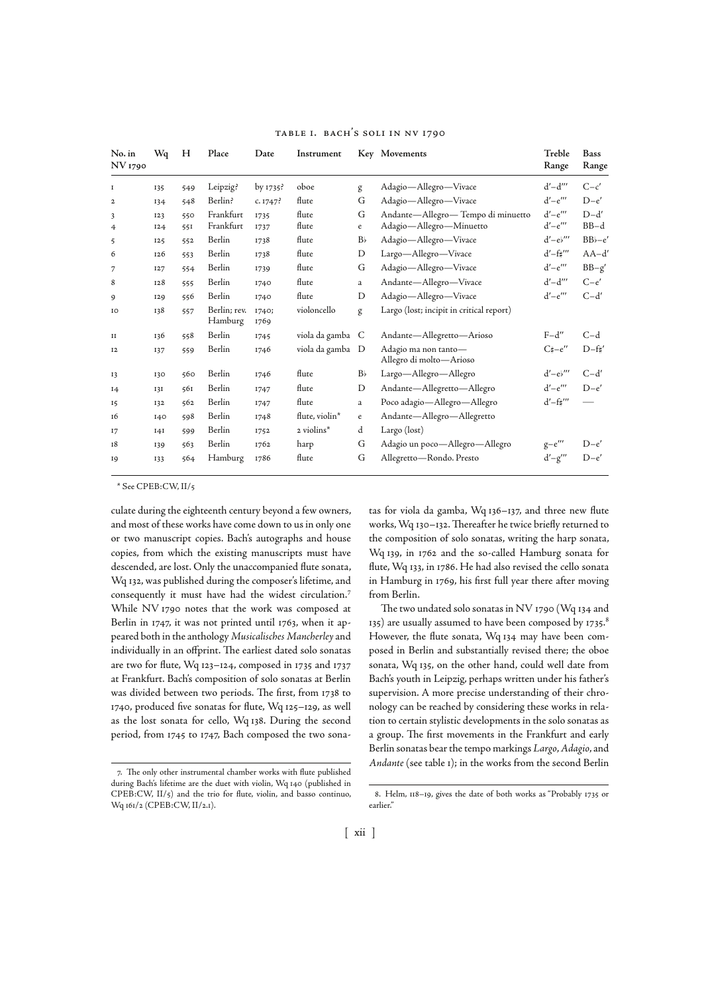| No. in<br>NV 1790   | Wq         | H          | Place                   | Date          | Instrument       |                | Key Movements                                                | Treble<br>Range                            | <b>Bass</b><br>Range     |
|---------------------|------------|------------|-------------------------|---------------|------------------|----------------|--------------------------------------------------------------|--------------------------------------------|--------------------------|
| $\mathbf I$         | 135        | 549        | Leipzig?                | by $1735$ ?   | oboe             | g              | Adagio—Allegro—Vivace                                        | $d'$ - $d'''$                              | $C-c'$                   |
| $\mathbf{2}$        | 134        | 548        | Berlin?                 | c. $1747$ ?   | flute            | G              | Adagio-Allegro-Vivace                                        | $d'-e'''$                                  | $D-e'$                   |
| 3<br>$\overline{4}$ | 123<br>I24 | 550<br>551 | Frankfurt<br>Frankfurt  | 1735<br>1737  | flute<br>flute   | G<br>e         | Andante-Allegro-Tempo di minuetto<br>Adagio-Allegro-Minuetto | $d'-e'''$<br>$d'-e'''$                     | $D-d'$<br>$BB-d$         |
| $\mathbf{5}$        | 125        | 552        | Berlin                  | 1738          | flute            | B <sub>b</sub> | Adagio-Allegro-Vivace                                        | $d'-e''$                                   | $BB$ <sub>b</sub> - $e'$ |
| 6                   | 126        | 553        | Berlin                  | 1738          | flute            | D              | Largo-Allegro-Vivace                                         | $d'$ -f# $''$                              | $AA-d'$                  |
| 7                   | <b>I27</b> | 554        | Berlin                  | 1739          | flute            | G              | Adagio-Allegro-Vivace                                        | $d'-e'''$                                  | $BB-g'$                  |
| 8                   | 128        | 555        | Berlin                  | 1740          | flute            | a              | Andante-Allegro-Vivace                                       | $d'-d'''$                                  | $C-e'$                   |
| 9                   | <b>I29</b> | 556        | Berlin                  | 1740          | flute            | D              | Adagio-Allegro-Vivace                                        | $d'-e'''$                                  | $C-d'$                   |
| 10                  | 138        | 557        | Berlin; rev.<br>Hamburg | 1740;<br>1769 | violoncello      | g              | Largo (lost; incipit in critical report)                     |                                            |                          |
| II                  | 136        | 558        | Berlin                  | 1745          | viola da gamba C |                | Andante-Allegretto-Arioso                                    | $F-d''$                                    | $C-d$                    |
| 12                  | 137        | 559        | Berlin                  | 1746          | viola da gamba D |                | Adagio ma non tanto-<br>Allegro di molto-Arioso              | $C\sharp -e''$                             | $D-f'$                   |
| 13                  | 130        | 560        | Berlin                  | 1746          | flute            | B <sub>b</sub> | Largo-Allegro-Allegro                                        | $d'-e'$                                    | $C-d'$                   |
| I <sub>4</sub>      | 131        | 561        | Berlin                  | 1747          | flute            | D              | Andante-Allegretto-Allegro                                   | $d'-e'''$                                  | $D-e'$                   |
| 15                  | 132        | 562        | Berlin                  | 1747          | flute            | a              | Poco adagio-Allegro-Allegro                                  | $d'$ -f# $''$                              |                          |
| 16                  | I40        | 598        | Berlin                  | 1748          | flute, violin*   | e              | Andante—Allegro—Allegretto                                   |                                            |                          |
| 17                  | I4I        | 599        | Berlin                  | 1752          | 2 violins*       | d              | Largo (lost)                                                 |                                            |                          |
| 18                  | 139        | 563        | Berlin                  | 1762          | harp             | G              | Adagio un poco-Allegro-Allegro                               | $\mbox{g}{-}\mbox{e}^{\prime\prime\prime}$ | $D-e'$                   |
| 19                  | 133        | 564        | Hamburg                 | 1786          | flute            | G              | Allegretto-Rondo. Presto                                     | $d'-g'''$                                  | $D-e'$                   |

#### TABLE I. BACH'S SOLI IN NV 1790

\* See CPEB:CW, II/

culate during the eighteenth century beyond a few owners, and most of these works have come down to us in only one or two manuscript copies. Bach's autographs and house copies, from which the existing manuscripts must have descended, are lost. Only the unaccompanied flute sonata, Wq 132, was published during the composer's lifetime, and consequently it must have had the widest circulation. While NV 1790 notes that the work was composed at Berlin in 1747, it was not printed until 1763, when it appeared both in the anthology Musicalisches Mancherley and individually in an offprint. The earliest dated solo sonatas are two for flute, Wq  $123-124$ , composed in 1735 and 1737 at Frankfurt. Bach's composition of solo sonatas at Berlin was divided between two periods. The first, from 1738 to 1740, produced five sonatas for flute, Wq 125-129, as well as the lost sonata for cello, Wq 138. During the second period, from 1745 to 1747, Bach composed the two sona-

tas for viola da gamba, Wq  $136-137$ , and three new flute works, Wq 130-132. Thereafter he twice briefly returned to the composition of solo sonatas, writing the harp sonata, Wq 139, in 1762 and the so-called Hamburg sonata for flute, Wq 133, in 1786. He had also revised the cello sonata in Hamburg in 1769, his first full year there after moving from Berlin.

The two undated solo sonatas in NV  $_{1790}$  (Wq  $_{134}$  and 135) are usually assumed to have been composed by  $1735$ . However, the flute sonata, Wq 134 may have been composed in Berlin and substantially revised there; the oboe sonata, Wq 135, on the other hand, could well date from Bach's youth in Leipzig, perhaps written under his father's supervision. A more precise understanding of their chronology can be reached by considering these works in relation to certain stylistic developments in the solo sonatas as a group. The first movements in the Frankfurt and early Berlin sonatas bear the tempo markings Largo, Adagio, and Andante (see table 1); in the works from the second Berlin

<sup>7.</sup> The only other instrumental chamber works with flute published during Bach's lifetime are the duet with violin, Wq 140 (published in  $\text{CPEB:CW, II/s}$  and the trio for flute, violin, and basso continuo, Wq 161/2 (CPEB:CW, II/2.1).

<sup>8.</sup> Helm, 118-19, gives the date of both works as "Probably 1735 or earlier."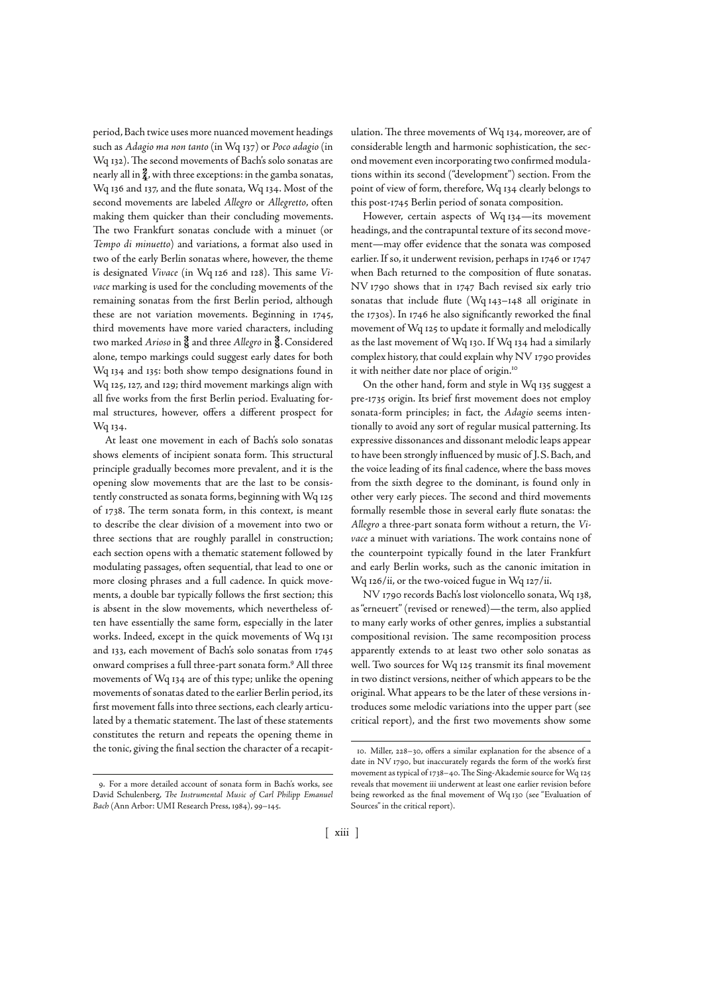period, Bach twice uses more nuanced movement headings such as Adagio ma non tanto (in Wq 137) or Poco adagio (in Wq 132). The second movements of Bach's solo sonatas are nearly all in  $\frac{2}{4}$ , with three exceptions: in the gamba sonatas, Wq 136 and 137, and the flute sonata, Wq 134. Most of the second movements are labeled Allegro or Allegretto, often making them quicker than their concluding movements. The two Frankfurt sonatas conclude with a minuet (or Tempo di minuetto) and variations, a format also used in two of the early Berlin sonatas where, however, the theme is designated Vivace (in Wq 126 and 128). This same Vivace marking is used for the concluding movements of the remaining sonatas from the first Berlin period, although these are not variation movements. Beginning in 1745, third movements have more varied characters, including two marked Arioso in  $\frac{3}{8}$  and three Allegro in  $\frac{3}{8}$ . Considered alone, tempo markings could suggest early dates for both Wq 134 and 135: both show tempo designations found in Wq 125, 127, and 129; third movement markings align with all five works from the first Berlin period. Evaluating formal structures, however, offers a different prospect for Wq 134.

At least one movement in each of Bach's solo sonatas shows elements of incipient sonata form. This structural principle gradually becomes more prevalent, and it is the opening slow movements that are the last to be consistently constructed as sonata forms, beginning with Wq of 1738. The term sonata form, in this context, is meant to describe the clear division of a movement into two or three sections that are roughly parallel in construction; each section opens with a thematic statement followed by modulating passages, often sequential, that lead to one or more closing phrases and a full cadence. In quick movements, a double bar typically follows the first section; this is absent in the slow movements, which nevertheless often have essentially the same form, especially in the later works. Indeed, except in the quick movements of Wq and 133, each movement of Bach's solo sonatas from 1745 onward comprises a full three-part sonata form. All three movements of Wq 134 are of this type; unlike the opening movements of sonatas dated to the earlier Berlin period, its first movement falls into three sections, each clearly articulated by a thematic statement. The last of these statements constitutes the return and repeats the opening theme in the tonic, giving the final section the character of a recapit-

. For a more detailed account of sonata form in Bach's works, see David Schulenberg, The Instrumental Music of Carl Philipp Emanuel Bach (Ann Arbor: UMI Research Press, 1984), 99-145.

ulation. The three movements of Wq 134, moreover, are of considerable length and harmonic sophistication, the second movement even incorporating two confirmed modulations within its second ("development") section. From the point of view of form, therefore, Wq 134 clearly belongs to this post-1745 Berlin period of sonata composition.

However, certain aspects of Wq 134-its movement headings, and the contrapuntal texture of its second movement—may offer evidence that the sonata was composed earlier. If so, it underwent revision, perhaps in 1746 or 1747 when Bach returned to the composition of flute sonatas. NV 1790 shows that in 1747 Bach revised six early trio sonatas that include flute (Wq  $143-148$  all originate in the 1730s). In 1746 he also significantly reworked the final movement of Wq 125 to update it formally and melodically as the last movement of Wq 130. If Wq 134 had a similarly complex history, that could explain why NV 1790 provides it with neither date nor place of origin.

On the other hand, form and style in Wq 135 suggest a pre-1735 origin. Its brief first movement does not employ sonata-form principles; in fact, the Adagio seems intentionally to avoid any sort of regular musical patterning. Its expressive dissonances and dissonant melodic leaps appear to have been strongly influenced by music of J. S. Bach, and the voice leading of its final cadence, where the bass moves from the sixth degree to the dominant, is found only in other very early pieces. The second and third movements formally resemble those in several early flute sonatas: the Allegro a three-part sonata form without a return, the Vivace a minuet with variations. The work contains none of the counterpoint typically found in the later Frankfurt and early Berlin works, such as the canonic imitation in Wq 126/ii, or the two-voiced fugue in Wq 127/ii.

NV 1790 records Bach's lost violoncello sonata, Wq 138, as "erneuert" (revised or renewed)—the term, also applied to many early works of other genres, implies a substantial compositional revision. The same recomposition process apparently extends to at least two other solo sonatas as well. Two sources for Wq 125 transmit its final movement in two distinct versions, neither of which appears to be the original. What appears to be the later of these versions introduces some melodic variations into the upper part (see critical report), and the first two movements show some

<sup>10.</sup> Miller, 228-30, offers a similar explanation for the absence of a date in NV 1790, but inaccurately regards the form of the work's first movement as typical of 1738–40. The  $\overline{\text{S}}$ ing-Akademie source for Wq 125 reveals that movement iii underwent at least one earlier revision before being reworked as the final movement of Wq 130 (see "Evaluation of Sources" in the critical report).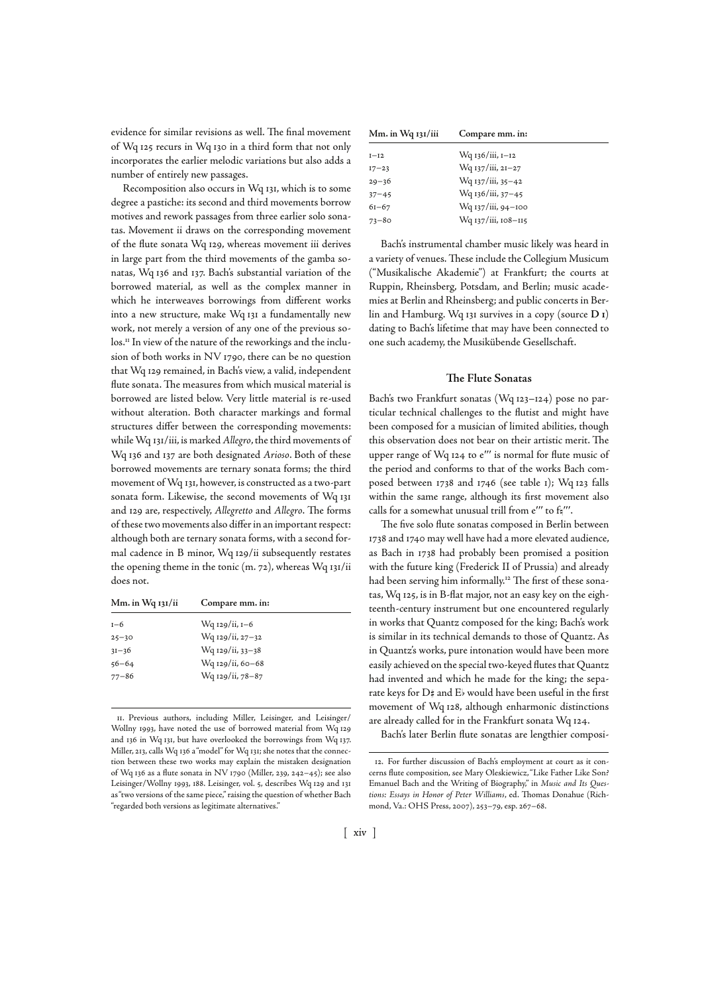evidence for similar revisions as well. The final movement of Wq 125 recurs in Wq 130 in a third form that not only incorporates the earlier melodic variations but also adds a number of entirely new passages.

Recomposition also occurs in Wq 131, which is to some degree a pastiche: its second and third movements borrow motives and rework passages from three earlier solo sonatas. Movement ii draws on the corresponding movement of the flute sonata Wq 129, whereas movement iii derives in large part from the third movements of the gamba sonatas, Wq 136 and 137. Bach's substantial variation of the borrowed material, as well as the complex manner in which he interweaves borrowings from different works into a new structure, make Wq 131 a fundamentally new work, not merely a version of any one of the previous solos.<sup>11</sup> In view of the nature of the reworkings and the inclusion of both works in NV 1790, there can be no question that Wq remained, in Bach's view, a valid, independent flute sonata. The measures from which musical material is borrowed are listed below. Very little material is re-used without alteration. Both character markings and formal structures differ between the corresponding movements: while Wq 131/iii, is marked Allegro, the third movements of Wq 136 and 137 are both designated Arioso. Both of these borrowed movements are ternary sonata forms; the third movement of Wq 131, however, is constructed as a two-part sonata form. Likewise, the second movements of Wq and 129 are, respectively, Allegretto and Allegro. The forms of these two movements also differ in an important respect: although both are ternary sonata forms, with a second formal cadence in B minor, Wq 129/ii subsequently restates the opening theme in the tonic (m. 72), whereas Wq  $131/ii$ does not.

| Mm. in Wq 131/ii | Compare mm. in:  |  |
|------------------|------------------|--|
| $I - 6$          | Wq 129/ii, 1–6   |  |
| $25 - 30$        | Wq 129/ii, 27-32 |  |
| $31 - 36$        | Wq 129/ii, 33-38 |  |
| $56 - 64$        | Wq 129/ii, 60-68 |  |
| $77 - 86$        | Wq 129/ii, 78-87 |  |

. Previous authors, including Miller, Leisinger, and Leisinger/ Wollny 1993, have noted the use of borrowed material from Wq 129 and 136 in Wq 131, but have overlooked the borrowings from Wq 137. Miller, 213, calls Wq 136 a "model" for Wq 131; she notes that the connection between these two works may explain the mistaken designation of Wq 136 as a flute sonata in NV 1790 (Miller, 239, 242–45); see also Leisinger/Wollny 1993, 188. Leisinger, vol. 5, describes Wq 129 and 131 as "two versions of the same piece," raising the question of whether Bach "regarded both versions as legitimate alternatives."

| Mm. in Wq 131/iii | Compare mm. in:     |
|-------------------|---------------------|
| $I-I2$            | Wq 136/iii, 1–12    |
| $17 - 23$         | Wq 137/iii, 21–27   |
| $29 - 36$         | Wq 137/iii, 35–42   |
| $37 - 45$         | Wq 136/iii, 37–45   |
| $6I - 67$         | Wq 137/iii, 94–100  |
| $73 - 80$         | Wq 137/iii, 108–115 |

Bach's instrumental chamber music likely was heard in a variety of venues. These include the Collegium Musicum ("Musikalische Akademie") at Frankfurt; the courts at Ruppin, Rheinsberg, Potsdam, and Berlin; music academies at Berlin and Rheinsberg; and public concerts in Berlin and Hamburg. Wq 131 survives in a copy (source D<sub>1</sub>) dating to Bach's lifetime that may have been connected to one such academy, the Musikübende Gesellschaft.

## **The Flute Sonatas**

Bach's two Frankfurt sonatas (Wq 123-124) pose no particular technical challenges to the flutist and might have been composed for a musician of limited abilities, though this observation does not bear on their artistic merit. The upper range of Wq 124 to e'" is normal for flute music of the period and conforms to that of the works Bach composed between 1738 and 1746 (see table 1); Wq 123 falls within the same range, although its first movement also calls for a somewhat unusual trill from  $e'''$  to  $f_1'''$ .

The five solo flute sonatas composed in Berlin between 1738 and 1740 may well have had a more elevated audience, as Bach in 1738 had probably been promised a position with the future king (Frederick II of Prussia) and already had been serving him informally.<sup>12</sup> The first of these sonatas, Wq 125, is in B-flat major, not an easy key on the eighteenth-century instrument but one encountered regularly in works that Quantz composed for the king; Bach's work is similar in its technical demands to those of Quantz. As in Quantz's works, pure intonation would have been more easily achieved on the special two-keyed flutes that Quantz had invented and which he made for the king; the separate keys for  $D#$  and  $E$  would have been useful in the first movement of Wq 128, although enharmonic distinctions are already called for in the Frankfurt sonata Wq 124.

Bach's later Berlin flute sonatas are lengthier composi-

<sup>.</sup> For further discussion of Bach's employment at court as it concerns flute composition, see Mary Oleskiewicz, "Like Father Like Son? Emanuel Bach and the Writing of Biography," in Music and Its Questions: Essays in Honor of Peter Williams, ed. Thomas Donahue (Richmond, Va.: OHS Press, 2007), 253-79, esp. 267-68.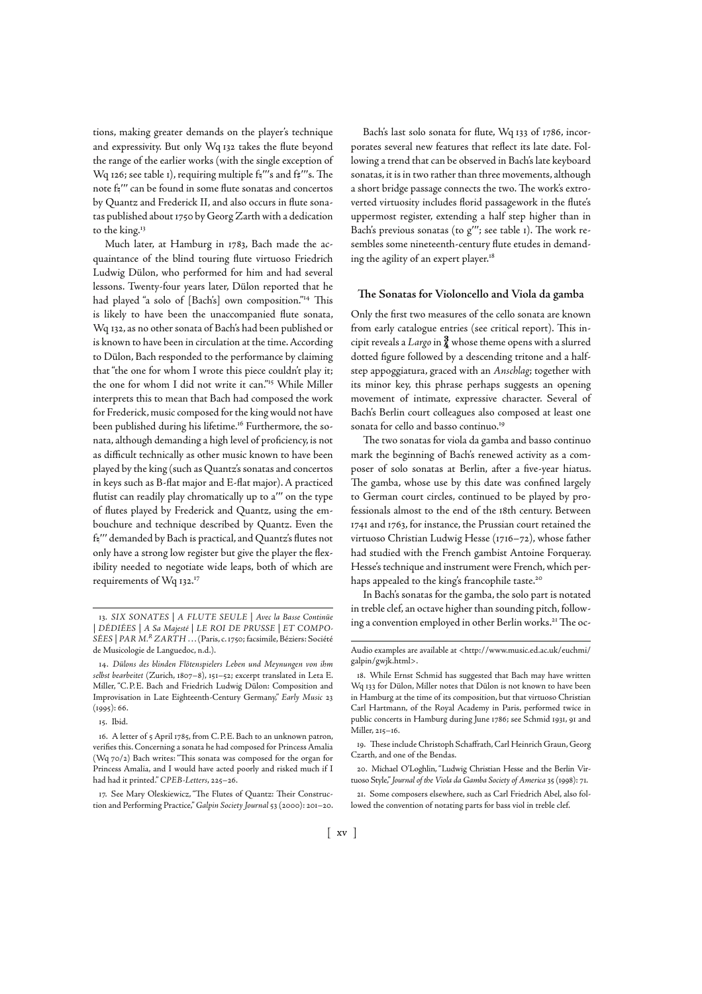tions, making greater demands on the player's technique and expressivity. But only Wq takes the flute beyond the range of the earlier works (with the single exception of Wq 126; see table 1), requiring multiple  $f_5$ "'s and  $f_7$ "'s. The note fa" can be found in some flute sonatas and concertos by Quantz and Frederick II, and also occurs in flute sonatas published about 1750 by Georg Zarth with a dedication to the king.

Much later, at Hamburg in 1783, Bach made the acquaintance of the blind touring flute virtuoso Friedrich Ludwig Dülon, who performed for him and had several lessons. Twenty-four years later, Dülon reported that he had played "a solo of [Bach's] own composition."<sup>14</sup> This is likely to have been the unaccompanied flute sonata, Wq 132, as no other sonata of Bach's had been published or is known to have been in circulation at the time. According to Dülon, Bach responded to the performance by claiming that "the one for whom I wrote this piece couldn't play it; the one for whom I did not write it can."<sup>15</sup> While Miller interprets this to mean that Bach had composed the work for Frederick, music composed for the king would not have been published during his lifetime.<sup>16</sup> Furthermore, the sonata, although demanding a high level of proficiency, is not as difficult technically as other music known to have been played by the king (such as Quantz's sonatas and concertos in keys such as B-flat major and E-flat major). A practiced flutist can readily play chromatically up to a'" on the type of flutes played by Frederick and Quantz, using the embouchure and technique described by Quantz. Even the f. "'' demanded by Bach is practical, and Quantz's flutes not only have a strong low register but give the player the flexibility needed to negotiate wide leaps, both of which are requirements of Wq 132.<sup>17</sup>

Bach's last solo sonata for flute, Wq 133 of 1786, incorporates several new features that reflect its late date. Following a trend that can be observed in Bach's late keyboard sonatas, it is in two rather than three movements, although a short bridge passage connects the two. The work's extroverted virtuosity includes florid passagework in the flute's uppermost register, extending a half step higher than in Bach's previous sonatas (to  $g''$ ; see table 1). The work resembles some nineteenth-century flute etudes in demanding the agility of an expert player.

#### **&e Sonatas for Violoncello and Viola da gamba**

Only the first two measures of the cello sonata are known from early catalogue entries (see critical report). This incipit reveals a Largo in  $\frac{3}{4}$  whose theme opens with a slurred dotted figure followed by a descending tritone and a halfstep appoggiatura, graced with an Anschlag; together with its minor key, this phrase perhaps suggests an opening movement of intimate, expressive character. Several of Bach's Berlin court colleagues also composed at least one sonata for cello and basso continuo.

The two sonatas for viola da gamba and basso continuo mark the beginning of Bach's renewed activity as a composer of solo sonatas at Berlin, after a five-year hiatus. The gamba, whose use by this date was confined largely to German court circles, continued to be played by professionals almost to the end of the 18th century. Between 1741 and 1763, for instance, the Prussian court retained the virtuoso Christian Ludwig Hesse ( $1716 - 72$ ), whose father had studied with the French gambist Antoine Forqueray. Hesse's technique and instrument were French, which perhaps appealed to the king's francophile taste.<sup>20</sup>

In Bach's sonatas for the gamba, the solo part is notated in treble clef, an octave higher than sounding pitch, followin the convention employed in other Berlin works.<sup>21</sup> The oc-<br>DÉDIÉTE LA S-Minute LE DOLDE DRIESE LET COMPO ing a convention employed in other Berlin works.<sup>21</sup> The oc-

<sup>|</sup> DÉDIÉES | A Sa Majesté | LE ROI DE PRUSSE | ET COMPO-SÉES | PAR M.<sup>R</sup> ZARTH . . . (Paris, c. 1750; facsimile, Béziers: Société de Musicologie de Languedoc, n.d.).

<sup>.</sup> Dülons des blinden Flötenspielers Leben und Meynungen von ihm selbst bearbeitet (Zurich, 1807–8), 151–52; excerpt translated in Leta E. Miller, "C.P.E. Bach and Friedrich Ludwig Dülon: Composition and Improvisation in Late Eighteenth-Century Germany," Early Music 23  $(1995): 66.$ 

<sup>15.</sup> Ibid.

<sup>16.</sup> A letter of 5 April 1785, from C.P.E. Bach to an unknown patron, verifies this. Concerning a sonata he had composed for Princess Amalia (Wq  $70/2$ ) Bach writes: "This sonata was composed for the organ for Princess Amalia, and I would have acted poorly and risked much if I had had it printed." CPEB-Letters, 225-26.

<sup>17.</sup> See Mary Oleskiewicz, "The Flutes of Quantz: Their Construction and Performing Practice," Galpin Society Journal 53 (2000): 201-20.

Audio examples are available at <http://www.music.ed.ac.uk/euchmi/ galpin/gwjk.html>.

<sup>.</sup> While Ernst Schmid has suggested that Bach may have written Wq 133 for Dülon, Miller notes that Dülon is not known to have been in Hamburg at the time of its composition, but that virtuoso Christian Carl Hartmann, of the Royal Academy in Paris, performed twice in public concerts in Hamburg during June 1786; see Schmid 1931, 91 and Miller,  $215 - 16$ .

<sup>19.</sup> These include Christoph Schaffrath, Carl Heinrich Graun, Georg Czarth, and one of the Bendas.

<sup>.</sup> Michael O'Loghlin, "Ludwig Christian Hesse and the Berlin Virtuoso Style," Journal of the Viola da Gamba Society of America 35 (1998): 71.

<sup>.</sup> Some composers elsewhere, such as Carl Friedrich Abel, also followed the convention of notating parts for bass viol in treble clef.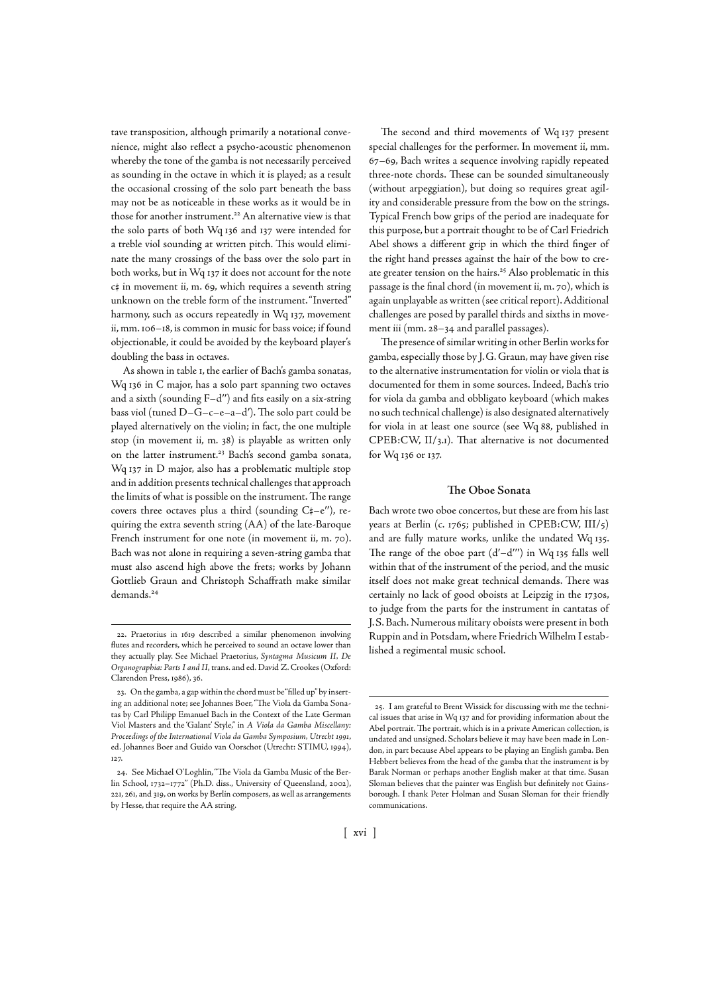tave transposition, although primarily a notational convenience, might also reflect a psycho-acoustic phenomenon whereby the tone of the gamba is not necessarily perceived as sounding in the octave in which it is played; as a result the occasional crossing of the solo part beneath the bass may not be as noticeable in these works as it would be in those for another instrument.<sup>22</sup> An alternative view is that the solo parts of both Wq 136 and 137 were intended for a treble viol sounding at written pitch. This would eliminate the many crossings of the bass over the solo part in both works, but in Wq 137 it does not account for the note  $c$ # in movement ii, m. 69, which requires a seventh string unknown on the treble form of the instrument. "Inverted" harmony, such as occurs repeatedly in Wq 137, movement ii, mm. 106-18, is common in music for bass voice; if found objectionable, it could be avoided by the keyboard player's doubling the bass in octaves.

As shown in table I, the earlier of Bach's gamba sonatas, Wq 136 in C major, has a solo part spanning two octaves and a sixth (sounding  $F-d''$ ) and fits easily on a six-string bass viol (tuned  $D-G-c-e-a-d'$ ). The solo part could be played alternatively on the violin; in fact, the one multiple stop (in movement ii, m. 38) is playable as written only on the latter instrument.<sup>23</sup> Bach's second gamba sonata, Wq 137 in D major, also has a problematic multiple stop and in addition presents technical challenges that approach the limits of what is possible on the instrument. The range covers three octaves plus a third (sounding  $C_{+}^{\mu}-e''$ ), requiring the extra seventh string (AA) of the late-Baroque French instrument for one note (in movement ii, m. 70). Bach was not alone in requiring a seven-string gamba that must also ascend high above the frets; works by Johann Gottlieb Graun and Christoph Schaffrath make similar demands.

The second and third movements of Wq 137 present special challenges for the performer. In movement ii, mm. 67-69, Bach writes a sequence involving rapidly repeated three-note chords. These can be sounded simultaneously (without arpeggiation), but doing so requires great agility and considerable pressure from the bow on the strings. Typical French bow grips of the period are inadequate for this purpose, but a portrait thought to be of Carl Friedrich Abel shows a different grip in which the third finger of the right hand presses against the hair of the bow to create greater tension on the hairs.<sup>25</sup> Also problematic in this passage is the final chord (in movement ii, m. 70), which is again unplayable as written (see critical report). Additional challenges are posed by parallel thirds and sixths in movement iii (mm. 28-34 and parallel passages).

The presence of similar writing in other Berlin works for gamba, especially those by J. G. Graun, may have given rise to the alternative instrumentation for violin or viola that is documented for them in some sources. Indeed, Bach's trio for viola da gamba and obbligato keyboard (which makes no such technical challenge) is also designated alternatively for viola in at least one source (see Wq 88, published in  $CPEB: CW$ ,  $II/3,I$ ). That alternative is not documented for Wq 136 or 137.

### **The Oboe Sonata**

Bach wrote two oboe concertos, but these are from his last years at Berlin (c. 1765; published in CPEB:CW,  $III/s$ ) and are fully mature works, unlike the undated Wq 135. The range of the oboe part  $(d'-d'')$  in Wq 135 falls well within that of the instrument of the period, and the music itself does not make great technical demands. There was certainly no lack of good oboists at Leipzig in the 1730s, to judge from the parts for the instrument in cantatas of J. S. Bach. Numerous military oboists were present in both Ruppin and in Potsdam, where Friedrich Wilhelm I established a regimental music school.

<sup>22.</sup> Praetorius in 1619 described a similar phenomenon involving flutes and recorders, which he perceived to sound an octave lower than they actually play. See Michael Praetorius, Syntagma Musicum II, De Organographia: Parts I and II, trans. and ed. David Z. Crookes (Oxford: Clarendon Press, 1986), 36.

<sup>.</sup> On the gamba, a gap within the chord must be "filled up" by inserting an additional note; see Johannes Boer, "The Viola da Gamba Sonatas by Carl Philipp Emanuel Bach in the Context of the Late German Viol Masters and the 'Galant' Style," in A Viola da Gamba Miscellany: Proceedings of the International Viola da Gamba Symposium, Utrecht 1991, ed. Johannes Boer and Guido van Oorschot (Utrecht: STIMU, 1994), 127.

<sup>24.</sup> See Michael O'Loghlin, "The Viola da Gamba Music of the Berlin School, 1732-1772" (Ph.D. diss., University of Queensland, 2002), 221, 261, and 319, on works by Berlin composers, as well as arrangements by Hesse, that require the AA string.

<sup>.</sup> I am grateful to Brent Wissick for discussing with me the technical issues that arise in Wq 137 and for providing information about the Abel portrait. The portrait, which is in a private American collection, is undated and unsigned. Scholars believe it may have been made in London, in part because Abel appears to be playing an English gamba. Ben Hebbert believes from the head of the gamba that the instrument is by Barak Norman or perhaps another English maker at that time. Susan Sloman believes that the painter was English but definitely not Gainsborough. I thank Peter Holman and Susan Sloman for their friendly communications.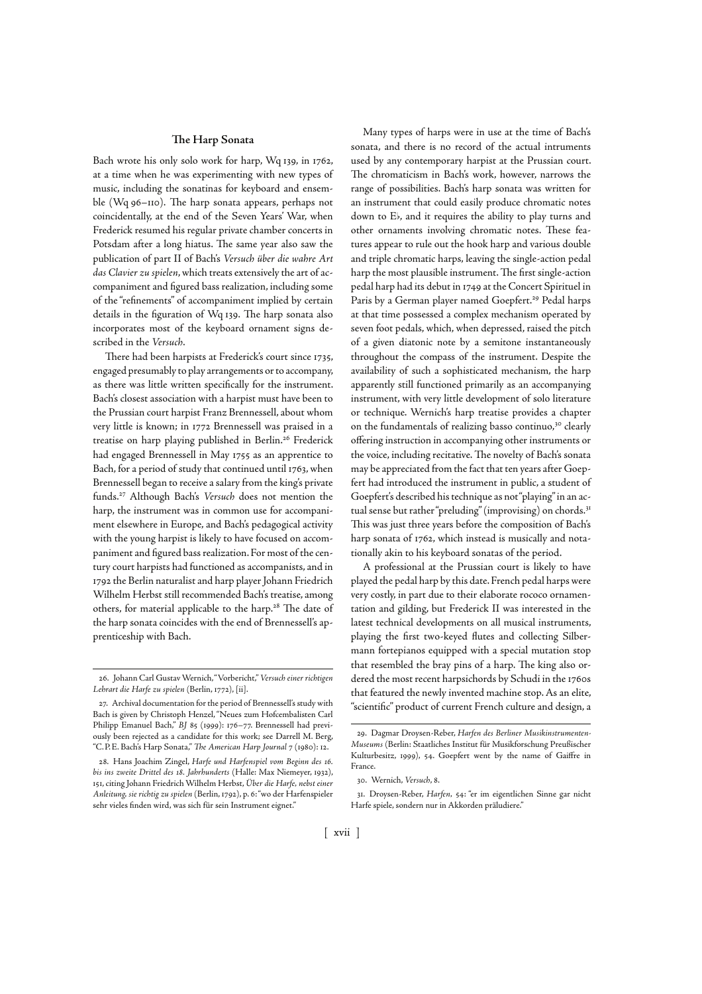## **The Harp Sonata**

Bach wrote his only solo work for harp, Wq 139, in 1762, at a time when he was experimenting with new types of music, including the sonatinas for keyboard and ensemble (Wq 96-110). The harp sonata appears, perhaps not coincidentally, at the end of the Seven Years' War, when Frederick resumed his regular private chamber concerts in Potsdam after a long hiatus. The same year also saw the publication of part II of Bach's Versuch über die wahre Art das Clavier zu spielen, which treats extensively the art of accompaniment and figured bass realization, including some of the "refinements" of accompaniment implied by certain details in the figuration of Wq 139. The harp sonata also incorporates most of the keyboard ornament signs described in the Versuch.

There had been harpists at Frederick's court since 1735, engaged presumably to play arrangements or to accompany, as there was little written specifically for the instrument. Bach's closest association with a harpist must have been to the Prussian court harpist Franz Brennessell, about whom very little is known; in 1772 Brennessell was praised in a treatise on harp playing published in Berlin.<sup>26</sup> Frederick had engaged Brennessell in May 1755 as an apprentice to Bach, for a period of study that continued until 1763, when Brennessell began to receive a salary from the king's private funds.<sup>27</sup> Although Bach's Versuch does not mention the harp, the instrument was in common use for accompaniment elsewhere in Europe, and Bach's pedagogical activity with the young harpist is likely to have focused on accompaniment and figured bass realization. For most of the century court harpists had functioned as accompanists, and in 1792 the Berlin naturalist and harp player Johann Friedrich Wilhelm Herbst still recommended Bach's treatise, among others, for material applicable to the harp.<sup>28</sup> The date of the harp sonata coincides with the end of Brennessell's apprenticeship with Bach.

Many types of harps were in use at the time of Bach's sonata, and there is no record of the actual intruments used by any contemporary harpist at the Prussian court. The chromaticism in Bach's work, however, narrows the range of possibilities. Bach's harp sonata was written for an instrument that could easily produce chromatic notes down to E<sub>b</sub>, and it requires the ability to play turns and other ornaments involving chromatic notes. These features appear to rule out the hook harp and various double and triple chromatic harps, leaving the single-action pedal harp the most plausible instrument. The first single-action pedal harp had its debut in 1749 at the Concert Spirituel in Paris by a German player named Goepfert.<sup>29</sup> Pedal harps at that time possessed a complex mechanism operated by seven foot pedals, which, when depressed, raised the pitch of a given diatonic note by a semitone instantaneously throughout the compass of the instrument. Despite the availability of such a sophisticated mechanism, the harp apparently still functioned primarily as an accompanying instrument, with very little development of solo literature or technique. Wernich's harp treatise provides a chapter on the fundamentals of realizing basso continuo,<sup>30</sup> clearly offering instruction in accompanying other instruments or the voice, including recitative. The novelty of Bach's sonata may be appreciated from the fact that ten years after Goepfert had introduced the instrument in public, a student of Goepfert's described his technique as not "playing" in an actual sense but rather "preluding" (improvising) on chords. This was just three years before the composition of Bach's harp sonata of 1762, which instead is musically and notationally akin to his keyboard sonatas of the period.

A professional at the Prussian court is likely to have played the pedal harp by this date. French pedal harps were very costly, in part due to their elaborate rococo ornamentation and gilding, but Frederick II was interested in the latest technical developments on all musical instruments, playing the first two-keyed flutes and collecting Silbermann fortepianos equipped with a special mutation stop that resembled the bray pins of a harp. The king also ordered the most recent harpsichords by Schudi in the 1760s that featured the newly invented machine stop. As an elite, "scientific" product of current French culture and design, a

<sup>.</sup> Johann Carl Gustav Wernich, "Vorbericht," Versuch einer richtigen Lehrart die Harfe zu spielen (Berlin, 1772), [ii].

<sup>.</sup> Archival documentation for the period of Brennessell's study with Bach is given by Christoph Henzel, "Neues zum Hofcembalisten Carl Philipp Emanuel Bach," BJ 85 (1999): 176-77. Brennessell had previously been rejected as a candidate for this work; see Darrell M. Berg, "C.P.E. Bach's Harp Sonata," The American Harp Journal 7 (1980): 12.

<sup>28.</sup> Hans Joachim Zingel, Harfe und Harfenspiel vom Beginn des 16. bis ins zweite Drittel des 18. Jahrhunderts (Halle: Max Niemeyer, 1932), 151, citing Johann Friedrich Wilhelm Herbst, Über die Harfe, nebst einer Anleitung, sie richtig zu spielen (Berlin, 1792), p. 6: "wo der Harfenspieler sehr vieles finden wird, was sich für sein Instrument eignet."

<sup>.</sup> Dagmar Droysen-Reber, Harfen des Berliner Musikinstrumenten-Museums (Berlin: Staatliches Institut für Musikforschung Preußischer Kulturbesitz, 1999), 54. Goepfert went by the name of Gaiffre in France.

<sup>30.</sup> Wernich, Versuch, 8.

<sup>31.</sup> Droysen-Reber, Harfen, 54: "er im eigentlichen Sinne gar nicht Harfe spiele, sondern nur in Akkorden präludiere."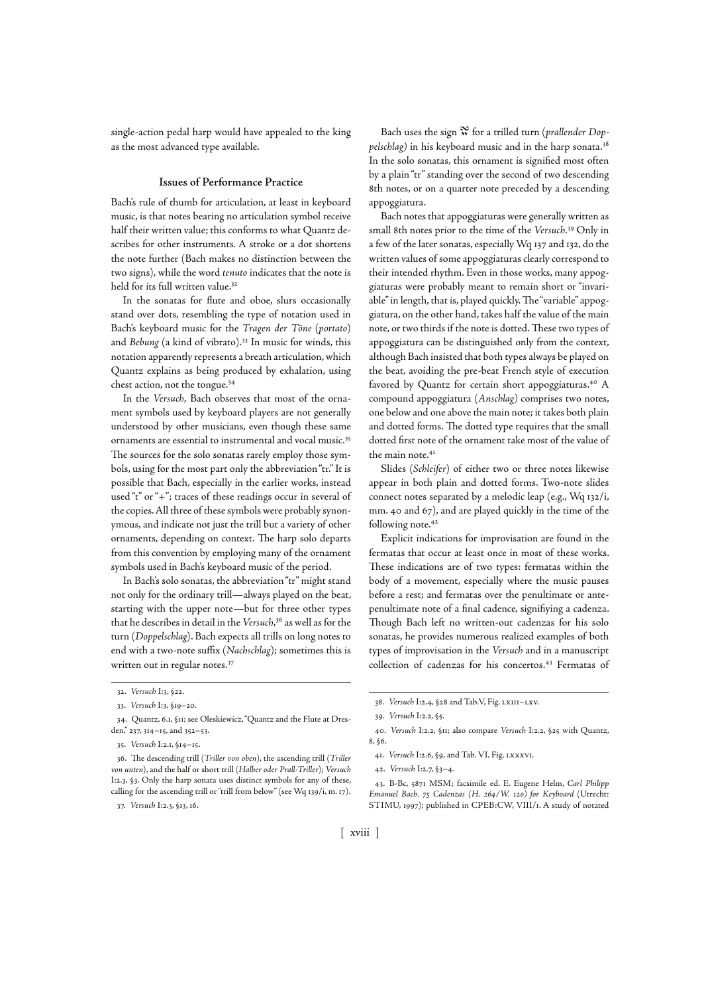single-action pedal harp would have appealed to the king as the most advanced type available.

## **Issues of Performance Practice**

Bach's rule of thumb for articulation, at least in keyboard music, is that notes bearing no articulation symbol receive half their written value; this conforms to what Quantz describes for other instruments. A stroke or a dot shortens the note further (Bach makes no distinction between the two signs), while the word tenuto indicates that the note is held for its full written value.<sup>32</sup>

In the sonatas for flute and oboe, slurs occasionally stand over dots, resembling the type of notation used in Bach's keyboard music for the Tragen der Töne (portato) and Bebung (a kind of vibrato).<sup>33</sup> In music for winds, this notation apparently represents a breath articulation, which Quantz explains as being produced by exhalation, using chest action, not the tongue.

In the Versuch, Bach observes that most of the ornament symbols used by keyboard players are not generally understood by other musicians, even though these same ornaments are essential to instrumental and vocal music. The sources for the solo sonatas rarely employ those symbols, using for the most part only the abbreviation "tr." It is possible that Bach, especially in the earlier works, instead used "t" or "+"; traces of these readings occur in several of the copies. All three of these symbols were probably synonymous, and indicate not just the trill but a variety of other ornaments, depending on context. The harp solo departs from this convention by employing many of the ornament symbols used in Bach's keyboard music of the period.

In Bach's solo sonatas, the abbreviation "tr" might stand not only for the ordinary trill—always played on the beat, starting with the upper note—but for three other types that he describes in detail in the Versuch,<sup>36</sup> as well as for the turn (Doppelschlag). Bach expects all trills on long notes to end with a two-note suffix (Nachschlag); sometimes this is written out in regular notes.<sup>37</sup>

Bach uses the sign  $\mathcal{\Re}$  for a trilled turn (prallender Doppelschlag) in his keyboard music and in the harp sonata. In the solo sonatas, this ornament is signified most often by a plain "tr" standing over the second of two descending 8th notes, or on a quarter note preceded by a descending appoggiatura.

Bach notes that appoggiaturas were generally written as small 8th notes prior to the time of the Versuch.<sup>39</sup> Only in a few of the later sonatas, especially Wq 137 and 132, do the written values of some appoggiaturas clearly correspond to their intended rhythm. Even in those works, many appoggiaturas were probably meant to remain short or "invariable" in length, that is, played quickly. The "variable" appoggiatura, on the other hand, takes half the value of the main note, or two thirds if the note is dotted. These two types of appoggiatura can be distinguished only from the context, although Bach insisted that both types always be played on the beat, avoiding the pre-beat French style of execution favored by Quantz for certain short appoggiaturas.<sup>40</sup> A compound appoggiatura (Anschlag) comprises two notes, one below and one above the main note; it takes both plain and dotted forms. The dotted type requires that the small dotted first note of the ornament take most of the value of the main note.

Slides (Schleifer) of either two or three notes likewise appear in both plain and dotted forms. Two-note slides connect notes separated by a melodic leap (e.g.,  $Wq$  132/i, mm. 40 and 67), and are played quickly in the time of the following note.<sup>42</sup>

Explicit indications for improvisation are found in the fermatas that occur at least once in most of these works. These indications are of two types: fermatas within the body of a movement, especially where the music pauses before a rest; and fermatas over the penultimate or antepenultimate note of a final cadence, signifiying a cadenza. Though Bach left no written-out cadenzas for his solo sonatas, he provides numerous realized examples of both types of improvisation in the Versuch and in a manuscript collection of cadenzas for his concertos.<sup>43</sup> Fermatas of

. B-Bc, MSM; facsimile ed. E. Eugene Helm, Carl Philipp Emanuel Bach. 75 Cadenzas (H. 264/W. 120) for Keyboard (Utrecht: STIMU, 1997); published in CPEB:CW, VIII/1. A study of notated

[ xviii ]

<sup>32.</sup> Versuch I:3, §22.

<sup>33.</sup> Versuch I:3, §19-20.

<sup>34.</sup> Quantz, 6.1, §11; see Oleskiewicz, "Quantz and the Flute at Dresden," 237, 314-15, and 352-53.

<sup>35.</sup> Versuch I:2.1, §14-15.

<sup>36.</sup> The descending trill (Triller von oben), the ascending trill (Triller von unten), and the half or short trill (Halber oder Prall-Triller); Versuch I:2.3, §3. Only the harp sonata uses distinct symbols for any of these, calling for the ascending trill or "trill from below" (see Wq  $139/i$ , m.  $17$ ).

<sup>37.</sup> Versuch I:2.3, §13, 16.

<sup>38.</sup> Versuch I:2.4, §28 and Tab.V, Fig. LXIII-LXV.

<sup>39.</sup> Versuch I:2.2, §5.

<sup>40.</sup> Versuch I:2.2, §II; also compare Versuch I:2.2, §25 with Quantz, , §.

<sup>41.</sup> Versuch I:2.6, §9, and Tab. VI, Fig. LXXXVI.

<sup>42.</sup> Versuch I:2.7, §3-4.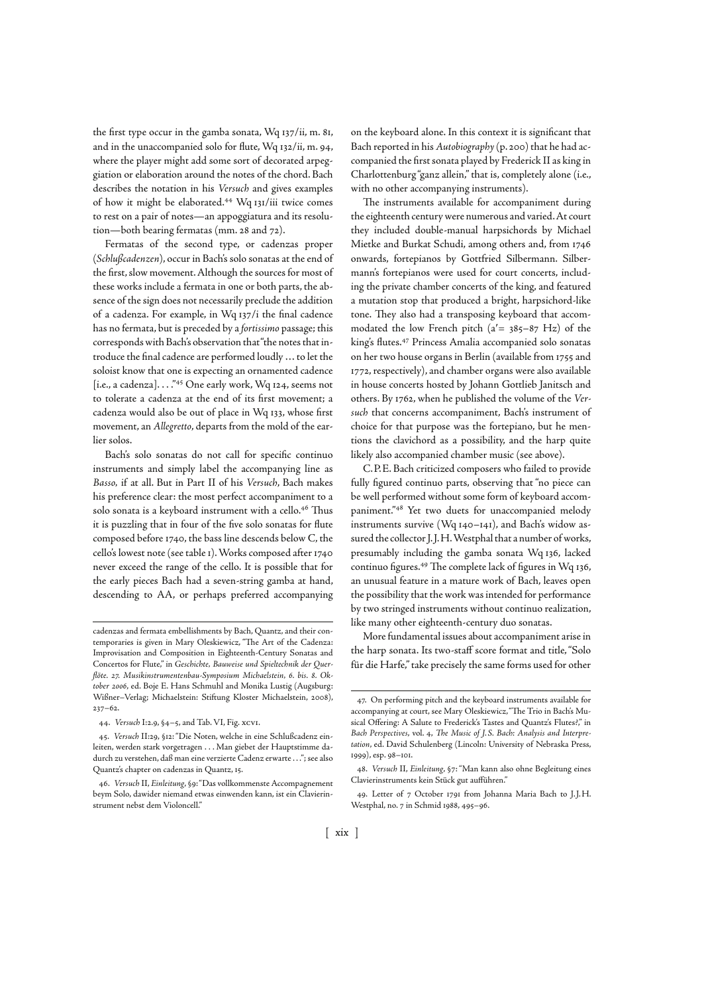the first type occur in the gamba sonata,  $Wq_137/ii$ , m. 81, and in the unaccompanied solo for flute, Wq 132/ii, m. 94, where the player might add some sort of decorated arpeggiation or elaboration around the notes of the chord. Bach describes the notation in his Versuch and gives examples of how it might be elaborated.<sup>44</sup> Wq 131/iii twice comes to rest on a pair of notes—an appoggiatura and its resolution—both bearing fermatas (mm. 28 and 72).

Fermatas of the second type, or cadenzas proper (Schlußcadenzen), occur in Bach's solo sonatas at the end of the first, slow movement. Although the sources for most of these works include a fermata in one or both parts, the absence of the sign does not necessarily preclude the addition of a cadenza. For example, in Wq 137/i the final cadence has no fermata, but is preceded by a fortissimo passage; this corresponds with Bach's observation that "the notes that introduce the final cadence are performed loudly … to let the soloist know that one is expecting an ornamented cadence [i.e., a cadenza]...." $45$  One early work, Wq 124, seems not to tolerate a cadenza at the end of its first movement; a cadenza would also be out of place in Wq 133, whose first movement, an Allegretto, departs from the mold of the earlier solos.

Bach's solo sonatas do not call for specific continuo instruments and simply label the accompanying line as Basso, if at all. But in Part II of his Versuch, Bach makes his preference clear: the most perfect accompaniment to a solo sonata is a keyboard instrument with a cello.<sup>46</sup> Thus it is puzzling that in four of the five solo sonatas for flute composed before 1740, the bass line descends below C, the cello's lowest note (see table ). Works composed after never exceed the range of the cello. It is possible that for the early pieces Bach had a seven-string gamba at hand, descending to AA, or perhaps preferred accompanying on the keyboard alone. In this context it is significant that Bach reported in his Autobiography (p. 200) that he had accompanied the first sonata played by Frederick II as king in Charlottenburg "ganz allein," that is, completely alone (i.e., with no other accompanying instruments).

The instruments available for accompaniment during the eighteenth century were numerous and varied. At court they included double-manual harpsichords by Michael Mietke and Burkat Schudi, among others and, from onwards, fortepianos by Gottfried Silbermann. Silbermann's fortepianos were used for court concerts, including the private chamber concerts of the king, and featured a mutation stop that produced a bright, harpsichord-like tone. They also had a transposing keyboard that accommodated the low French pitch  $(a' = 385-87 \text{ Hz})$  of the king's flutes.<sup>47</sup> Princess Amalia accompanied solo sonatas on her two house organs in Berlin (available from 1755 and 1772, respectively), and chamber organs were also available in house concerts hosted by Johann Gottlieb Janitsch and others. By 1762, when he published the volume of the Versuch that concerns accompaniment, Bach's instrument of choice for that purpose was the fortepiano, but he mentions the clavichord as a possibility, and the harp quite likely also accompanied chamber music (see above).

C. P. E. Bach criticized composers who failed to provide fully figured continuo parts, observing that "no piece can be well performed without some form of keyboard accompaniment."<sup>48</sup> Yet two duets for unaccompanied melody instruments survive (Wq  $140-141$ ), and Bach's widow assured the collector J. J. H. Westphal that a number of works, presumably including the gamba sonata Wq 136, lacked continuo figures.<sup>49</sup> The complete lack of figures in Wq 136, an unusual feature in a mature work of Bach, leaves open the possibility that the work was intended for performance by two stringed instruments without continuo realization, like many other eighteenth-century duo sonatas.

More fundamental issues about accompaniment arise in the harp sonata. Its two-staff score format and title, "Solo für die Harfe," take precisely the same forms used for other

cadenzas and fermata embellishments by Bach, Quantz, and their contemporaries is given in Mary Oleskiewicz, "The Art of the Cadenza: Improvisation and Composition in Eighteenth-Century Sonatas and Concertos for Flute," in Geschichte, Bauweise und Spieltechnik der Querflöte. 27. Musikinstrumentenbau-Symposium Michaelstein, 6. bis. 8. Oktober 2006, ed. Boje E. Hans Schmuhl and Monika Lustig (Augsburg: Wißner-Verlag; Michaelstein: Stiftung Kloster Michaelstein, 2008),  $237 - 62$ 

<sup>44.</sup> Versuch I:2.9, §4-5, and Tab. VI, Fig. xcvI.

<sup>45.</sup> Versuch II:29, §12: "Die Noten, welche in eine Schlußcadenz einleiten, werden stark vorgetragen . . . Man giebet der Hauptstimme dadurch zu verstehen, daß man eine verzierte Cadenz erwarte . . ."; see also Quantz's chapter on cadenzas in Quantz, 15,

<sup>.</sup> Versuch II, Einleitung, §: "Das vollkommenste Accompagnement beym Solo, dawider niemand etwas einwenden kann, ist ein Clavierinstrument nebst dem Violoncell."

<sup>.</sup> On performing pitch and the keyboard instruments available for accompanying at court, see Mary Oleskiewicz, "The Trio in Bach's Musical Offering: A Salute to Frederick's Tastes and Quantz's Flutes?" in Bach Perspectives, vol. 4. The Music of J.S. Bach: Analysis and Interpretation, ed. David Schulenberg (Lincoln: University of Nebraska Press, 1999), esp. 98-101.

<sup>48.</sup> Versuch II, Einleitung, §7: "Man kann also ohne Begleitung eines Clavierinstruments kein Stück gut aufführen."

<sup>49.</sup> Letter of 7 October 1791 from Johanna Maria Bach to J.J.H. Westphal, no. 7 in Schmid 1988, 495-96.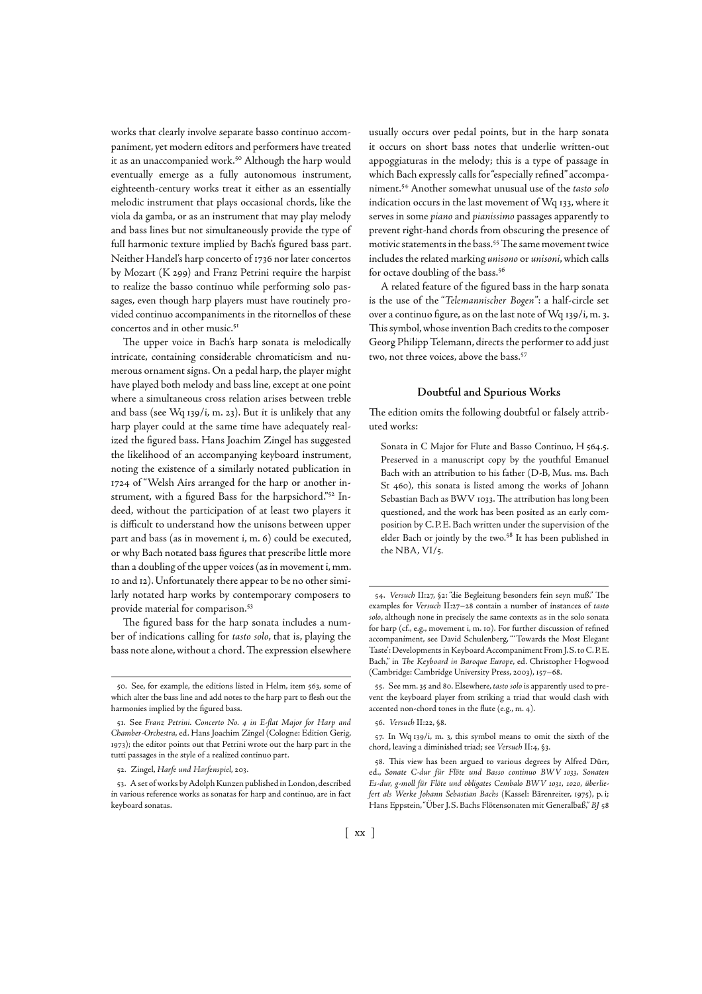works that clearly involve separate basso continuo accompaniment, yet modern editors and performers have treated it as an unaccompanied work.<sup>50</sup> Although the harp would eventually emerge as a fully autonomous instrument, eighteenth-century works treat it either as an essentially melodic instrument that plays occasional chords, like the viola da gamba, or as an instrument that may play melody and bass lines but not simultaneously provide the type of full harmonic texture implied by Bach's figured bass part. Neither Handel's harp concerto of 1736 nor later concertos by Mozart (K 299) and Franz Petrini require the harpist to realize the basso continuo while performing solo passages, even though harp players must have routinely provided continuo accompaniments in the ritornellos of these concertos and in other music.

The upper voice in Bach's harp sonata is melodically intricate, containing considerable chromaticism and numerous ornament signs. On a pedal harp, the player might have played both melody and bass line, except at one point where a simultaneous cross relation arises between treble and bass (see Wq 139/i, m. 23). But it is unlikely that any harp player could at the same time have adequately realized the figured bass. Hans Joachim Zingel has suggested the likelihood of an accompanying keyboard instrument, noting the existence of a similarly notated publication in 1724 of "Welsh Airs arranged for the harp or another instrument, with a figured Bass for the harpsichord."<sup>52</sup> Indeed, without the participation of at least two players it is difficult to understand how the unisons between upper part and bass (as in movement i, m. 6) could be executed, or why Bach notated bass figures that prescribe little more than a doubling of the upper voices (as in movement i, mm. 10 and 12). Unfortunately there appear to be no other similarly notated harp works by contemporary composers to provide material for comparison.

The figured bass for the harp sonata includes a number of indications calling for tasto solo, that is, playing the bass note alone, without a chord. The expression elsewhere

52. Zingel, Harfe und Harfenspiel, 203.

usually occurs over pedal points, but in the harp sonata it occurs on short bass notes that underlie written-out appoggiaturas in the melody; this is a type of passage in which Bach expressly calls for "especially refined" accompaniment.<sup>54</sup> Another somewhat unusual use of the tasto solo indication occurs in the last movement of Wq 133, where it serves in some piano and pianissimo passages apparently to prevent right-hand chords from obscuring the presence of motivic statements in the bass.<sup>55</sup> The same movement twice includes the related marking unisono or unisoni, which calls for octave doubling of the bass.

A related feature of the figured bass in the harp sonata is the use of the "Telemannischer Bogen": a half-circle set over a continuo figure, as on the last note of  $Wq$  139/i, m. 3. This symbol, whose invention Bach credits to the composer Georg Philipp Telemann, directs the performer to add just two, not three voices, above the bass.

### **Doubtful and Spurious Works**

The edition omits the following doubtful or falsely attributed works:

Sonata in C Major for Flute and Basso Continuo, H 564.5. Preserved in a manuscript copy by the youthful Emanuel Bach with an attribution to his father (D-B, Mus. ms. Bach St 460), this sonata is listed among the works of Johann Sebastian Bach as BWV 1033. The attribution has long been questioned, and the work has been posited as an early composition by C.P.E. Bach written under the supervision of the elder Bach or jointly by the two.<sup>58</sup> It has been published in the NBA, VI/5.

<sup>50.</sup> See, for example, the editions listed in Helm, item 563, some of which alter the bass line and add notes to the harp part to flesh out the harmonies implied by the figured bass.

<sup>51.</sup> See Franz Petrini. Concerto No. 4 in E-flat Major for Harp and Chamber-Orchestra, ed. Hans Joachim Zingel (Cologne: Edition Gerig, 1973); the editor points out that Petrini wrote out the harp part in the tutti passages in the style of a realized continuo part.

<sup>.</sup> A set of works by Adolph Kunzen published in London, described in various reference works as sonatas for harp and continuo, are in fact keyboard sonatas.

<sup>54.</sup> Versuch II:27, §2: "die Begleitung besonders fein seyn muß." The examples for Versuch II:27-28 contain a number of instances of tasto solo, although none in precisely the same contexts as in the solo sonata for harp (cf., e.g., movement i, m. 10). For further discussion of refined accompaniment, see David Schulenberg, "'Towards the Most Elegant Taste': Developments in Keyboard Accompaniment From J. S. to C. P. E. Bach," in The Keyboard in Baroque Europe, ed. Christopher Hogwood (Cambridge: Cambridge University Press, 2003), 157-68.

<sup>55.</sup> See mm. 35 and 80. Elsewhere, tasto solo is apparently used to prevent the keyboard player from striking a triad that would clash with accented non-chord tones in the flute (e.g., m. 4).

<sup>56.</sup> Versuch II:22, §8.

<sup>57.</sup> In Wq 139/i, m. 3, this symbol means to omit the sixth of the chord, leaving a diminished triad; see Versuch II:4, §3.

<sup>58.</sup> This view has been argued to various degrees by Alfred Dürr, ed., Sonate C-dur für Flöte und Basso continuo BWV 1033, Sonaten Es-dur, g-moll für Flöte und obligates Cembalo BWV 1031, 1020, überliefert als Werke Johann Sebastian Bachs (Kassel: Bärenreiter, 1975), p. i; Hans Eppstein, "Über J.S. Bachs Flötensonaten mit Generalbaß," BJ 58